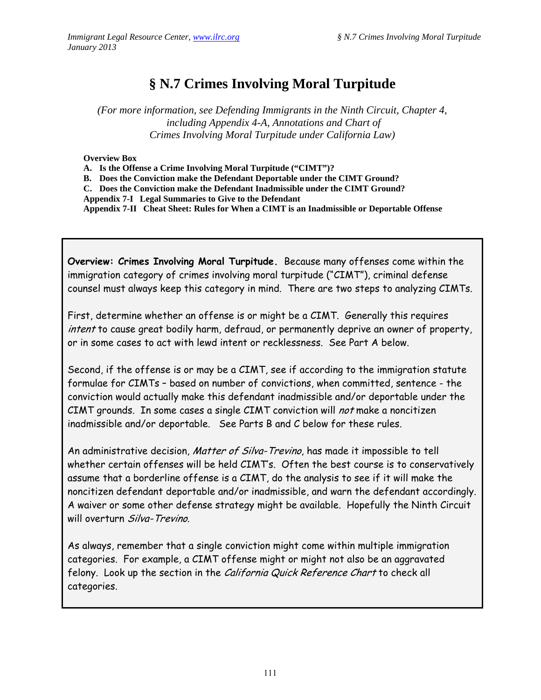# **§ N.7 Crimes Involving Moral Turpitude**

*(For more information, see Defending Immigrants in the Ninth Circuit, Chapter 4, including Appendix 4-A, Annotations and Chart of Crimes Involving Moral Turpitude under California Law)* 

**Overview Box** 

**A. Is the Offense a Crime Involving Moral Turpitude ("CIMT")?** 

**B. Does the Conviction make the Defendant Deportable under the CIMT Ground?** 

**C. Does the Conviction make the Defendant Inadmissible under the CIMT Ground?** 

**Appendix 7-I Legal Summaries to Give to the Defendant** 

**Appendix 7-II Cheat Sheet: Rules for When a CIMT is an Inadmissible or Deportable Offense** 

**Overview: Crimes Involving Moral Turpitude.** Because many offenses come within the immigration category of crimes involving moral turpitude ("CIMT"), criminal defense counsel must always keep this category in mind. There are two steps to analyzing CIMTs.

First, determine whether an offense is or might be a CIMT. Generally this requires intent to cause great bodily harm, defraud, or permanently deprive an owner of property, or in some cases to act with lewd intent or recklessness. See Part A below.

Second, if the offense is or may be a CIMT, see if according to the immigration statute formulae for CIMTs – based on number of convictions, when committed, sentence - the conviction would actually make this defendant inadmissible and/or deportable under the CIMT grounds. In some cases a single CIMT conviction will not make a noncitizen inadmissible and/or deportable. See Parts B and C below for these rules.

An administrative decision, Matter of Silva-Trevino, has made it impossible to tell whether certain offenses will be held CIMT's. Often the best course is to conservatively assume that a borderline offense is a CIMT, do the analysis to see if it will make the noncitizen defendant deportable and/or inadmissible, and warn the defendant accordingly. A waiver or some other defense strategy might be available. Hopefully the Ninth Circuit will overturn Silva-Trevino.

As always, remember that a single conviction might come within multiple immigration categories. For example, a CIMT offense might or might not also be an aggravated felony. Look up the section in the California Quick Reference Chart to check all categories.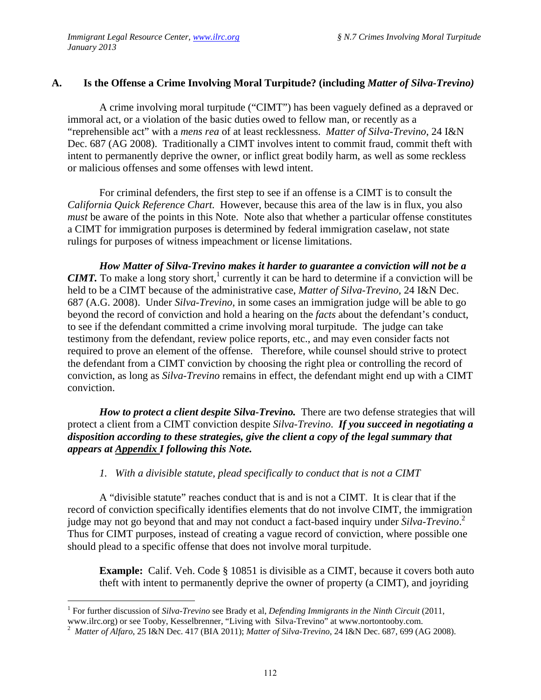## **A. Is the Offense a Crime Involving Moral Turpitude? (including** *Matter of Silva-Trevino)*

A crime involving moral turpitude ("CIMT") has been vaguely defined as a depraved or immoral act, or a violation of the basic duties owed to fellow man, or recently as a "reprehensible act" with a *mens rea* of at least recklessness. *Matter of Silva-Trevino*, 24 I&N Dec. 687 (AG 2008). Traditionally a CIMT involves intent to commit fraud, commit theft with intent to permanently deprive the owner, or inflict great bodily harm, as well as some reckless or malicious offenses and some offenses with lewd intent.

For criminal defenders, the first step to see if an offense is a CIMT is to consult the *California Quick Reference Chart.* However, because this area of the law is in flux, you also *must* be aware of the points in this Note. Note also that whether a particular offense constitutes a CIMT for immigration purposes is determined by federal immigration caselaw, not state rulings for purposes of witness impeachment or license limitations.

*How Matter of Silva-Trevino makes it harder to guarantee a conviction will not be a CIMT*. To make a long story short,<sup>1</sup> currently it can be hard to determine if a conviction will be held to be a CIMT because of the administrative case, *Matter of Silva-Trevino,* 24 I&N Dec. 687 (A.G. 2008). Under *Silva-Trevino*, in some cases an immigration judge will be able to go beyond the record of conviction and hold a hearing on the *facts* about the defendant's conduct, to see if the defendant committed a crime involving moral turpitude. The judge can take testimony from the defendant, review police reports, etc., and may even consider facts not required to prove an element of the offense. Therefore, while counsel should strive to protect the defendant from a CIMT conviction by choosing the right plea or controlling the record of conviction, as long as *Silva-Trevino* remains in effect, the defendant might end up with a CIMT conviction.

*How to protect a client despite Silva-Trevino.* There are two defense strategies that will protect a client from a CIMT conviction despite *Silva-Trevino*. *If you succeed in negotiating a disposition according to these strategies, give the client a copy of the legal summary that appears at Appendix I following this Note.* 

#### *1. With a divisible statute, plead specifically to conduct that is not a CIMT*

A "divisible statute" reaches conduct that is and is not a CIMT. It is clear that if the record of conviction specifically identifies elements that do not involve CIMT, the immigration judge may not go beyond that and may not conduct a fact-based inquiry under *Silva-Trevino*. 2 Thus for CIMT purposes, instead of creating a vague record of conviction, where possible one should plead to a specific offense that does not involve moral turpitude.

**Example:** Calif. Veh. Code § 10851 is divisible as a CIMT, because it covers both auto theft with intent to permanently deprive the owner of property (a CIMT), and joyriding

1

<sup>&</sup>lt;sup>1</sup> For further discussion of *Silva-Trevino* see Brady et al, *Defending Immigrants in the Ninth Circuit* (2011, www.ilrc.org) or see Tooby, Kesselbrenner, "Living with Silva-Trevino" at www.nortontooby.com.

<sup>2</sup> *Matter of Alfaro*, 25 I&N Dec. 417 (BIA 2011); *Matter of Silva-Trevino*, 24 I&N Dec. 687, 699 (AG 2008).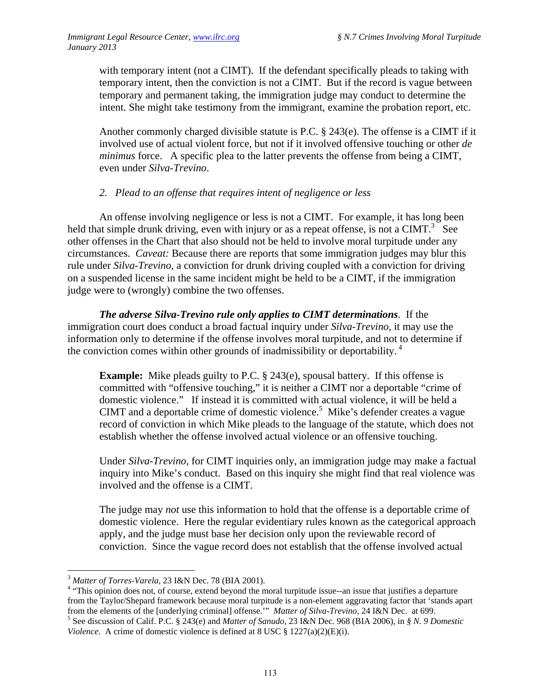with temporary intent (not a CIMT). If the defendant specifically pleads to taking with temporary intent, then the conviction is not a CIMT. But if the record is vague between temporary and permanent taking, the immigration judge may conduct to determine the intent. She might take testimony from the immigrant, examine the probation report, etc.

Another commonly charged divisible statute is P.C. § 243(e). The offense is a CIMT if it involved use of actual violent force, but not if it involved offensive touching or other *de minimus* force. A specific plea to the latter prevents the offense from being a CIMT, even under *Silva-Trevino*.

#### *2. Plead to an offense that requires intent of negligence or less*

An offense involving negligence or less is not a CIMT. For example, it has long been held that simple drunk driving, even with injury or as a repeat offense, is not a CIMT.<sup>3</sup> See other offenses in the Chart that also should not be held to involve moral turpitude under any circumstances. *Caveat:* Because there are reports that some immigration judges may blur this rule under *Silva-Trevino*, a conviction for drunk driving coupled with a conviction for driving on a suspended license in the same incident might be held to be a CIMT, if the immigration judge were to (wrongly) combine the two offenses.

*The adverse Silva-Trevino rule only applies to CIMT determinations*. If the immigration court does conduct a broad factual inquiry under *Silva-Trevino*, it may use the information only to determine if the offense involves moral turpitude, and not to determine if the conviction comes within other grounds of inadmissibility or deportability.<sup>4</sup>

**Example:** Mike pleads guilty to P.C. § 243(e), spousal battery. If this offense is committed with "offensive touching," it is neither a CIMT nor a deportable "crime of domestic violence." If instead it is committed with actual violence, it will be held a CIMT and a deportable crime of domestic violence.<sup>5</sup> Mike's defender creates a vague record of conviction in which Mike pleads to the language of the statute, which does not establish whether the offense involved actual violence or an offensive touching.

Under *Silva-Trevino*, for CIMT inquiries only, an immigration judge may make a factual inquiry into Mike's conduct. Based on this inquiry she might find that real violence was involved and the offense is a CIMT.

The judge may *not* use this information to hold that the offense is a deportable crime of domestic violence. Here the regular evidentiary rules known as the categorical approach apply, and the judge must base her decision only upon the reviewable record of conviction. Since the vague record does not establish that the offense involved actual

 $\overline{a}$ <sup>3</sup> *Matter of Torres-Varela,* 23 I&N Dec. 78 (BIA 2001). 4

<sup>&</sup>lt;sup>4</sup> "This opinion does not, of course, extend beyond the moral turpitude issue--an issue that justifies a departure from the Taylor/Shepard framework because moral turpitude is a non-element aggravating factor that 'stands apart from the elements of the [underlying criminal] offense.'" *Matter of Silva-Trevino*, 24 I&N Dec. at 699. 5

See discussion of Calif. P.C. § 243(e) and *Matter of Sanudo*, 23 I&N Dec. 968 (BIA 2006), in *§ N. 9 Domestic Violence.* A crime of domestic violence is defined at 8 USC § 1227(a)(2)(E)(i).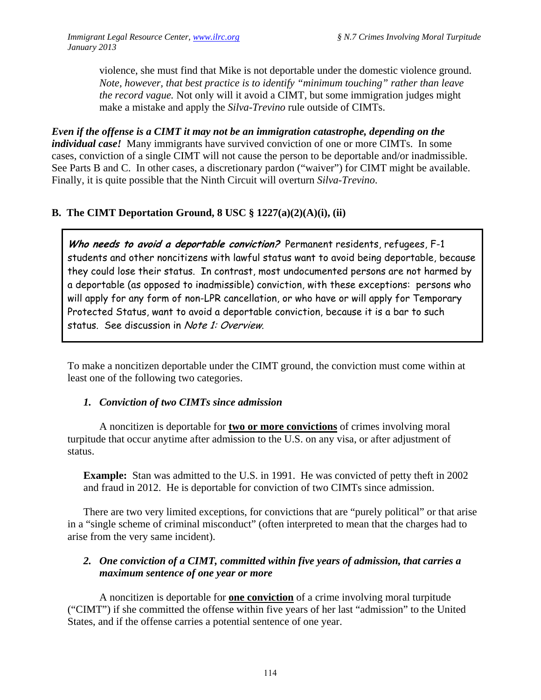violence, she must find that Mike is not deportable under the domestic violence ground. *Note, however, that best practice is to identify "minimum touching" rather than leave the record vague.* Not only will it avoid a CIMT, but some immigration judges might make a mistake and apply the *Silva-Trevino* rule outside of CIMTs.

*Even if the offense is a CIMT it may not be an immigration catastrophe, depending on the individual case!* Many immigrants have survived conviction of one or more CIMTs. In some cases, conviction of a single CIMT will not cause the person to be deportable and/or inadmissible. See Parts B and C. In other cases, a discretionary pardon ("waiver") for CIMT might be available. Finally, it is quite possible that the Ninth Circuit will overturn *Silva-Trevino*.

## **B. The CIMT Deportation Ground, 8 USC § 1227(a)(2)(A)(i), (ii)**

**Who needs to avoid a deportable conviction?** Permanent residents, refugees, F-1 students and other noncitizens with lawful status want to avoid being deportable, because they could lose their status. In contrast, most undocumented persons are not harmed by a deportable (as opposed to inadmissible) conviction, with these exceptions: persons who will apply for any form of non-LPR cancellation, or who have or will apply for Temporary Protected Status, want to avoid a deportable conviction, because it is a bar to such status. See discussion in Note 1: Overview.

To make a noncitizen deportable under the CIMT ground, the conviction must come within at least one of the following two categories.

#### *1. Conviction of two CIMTs since admission*

 A noncitizen is deportable for **two or more convictions** of crimes involving moral turpitude that occur anytime after admission to the U.S. on any visa, or after adjustment of status.

**Example:** Stan was admitted to the U.S. in 1991. He was convicted of petty theft in 2002 and fraud in 2012. He is deportable for conviction of two CIMTs since admission.

There are two very limited exceptions, for convictions that are "purely political" or that arise in a "single scheme of criminal misconduct" (often interpreted to mean that the charges had to arise from the very same incident).

### *2. One conviction of a CIMT, committed within five years of admission, that carries a maximum sentence of one year or more*

A noncitizen is deportable for **one conviction** of a crime involving moral turpitude ("CIMT") if she committed the offense within five years of her last "admission" to the United States, and if the offense carries a potential sentence of one year.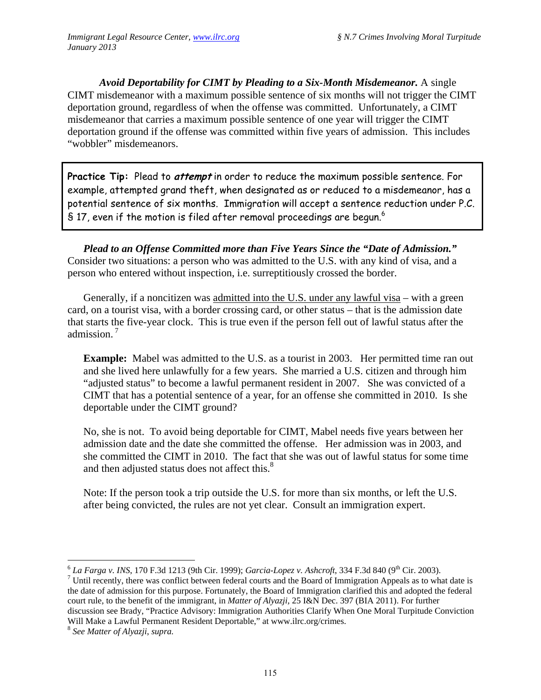*Avoid Deportability for CIMT by Pleading to a Six-Month Misdemeanor.* A single CIMT misdemeanor with a maximum possible sentence of six months will not trigger the CIMT deportation ground, regardless of when the offense was committed. Unfortunately, a CIMT misdemeanor that carries a maximum possible sentence of one year will trigger the CIMT deportation ground if the offense was committed within five years of admission. This includes "wobbler" misdemeanors.

**Practice Tip:** Plead to **attempt** in order to reduce the maximum possible sentence. For example, attempted grand theft, when designated as or reduced to a misdemeanor, has a potential sentence of six months. Immigration will accept a sentence reduction under P.C.  $\$$  17, even if the motion is filed after removal proceedings are begun. $^6$ 

*Plead to an Offense Committed more than Five Years Since the "Date of Admission."*  Consider two situations: a person who was admitted to the U.S. with any kind of visa, and a person who entered without inspection, i.e. surreptitiously crossed the border.

Generally, if a noncitizen was admitted into the U.S. under any lawful visa – with a green card, on a tourist visa, with a border crossing card, or other status – that is the admission date that starts the five-year clock. This is true even if the person fell out of lawful status after the admission<sup>7</sup>

**Example:** Mabel was admitted to the U.S. as a tourist in 2003. Her permitted time ran out and she lived here unlawfully for a few years. She married a U.S. citizen and through him "adjusted status" to become a lawful permanent resident in 2007. She was convicted of a CIMT that has a potential sentence of a year, for an offense she committed in 2010. Is she deportable under the CIMT ground?

No, she is not. To avoid being deportable for CIMT, Mabel needs five years between her admission date and the date she committed the offense. Her admission was in 2003, and she committed the CIMT in 2010. The fact that she was out of lawful status for some time and then adjusted status does not affect this.<sup>8</sup>

Note: If the person took a trip outside the U.S. for more than six months, or left the U.S. after being convicted, the rules are not yet clear. Consult an immigration expert.

 $\overline{a}$  $^6$  *La Farga v. INS*, 170 F.3d 1213 (9th Cir. 1999); *Garcia-Lopez v. Ashcroft*, 334 F.3d 840 (9<sup>th</sup> Cir. 2003).  $\frac{7}{1}$  Until recently, there was conflict between federal courts and the Board of Immigration Appeals as to what date is

the date of admission for this purpose. Fortunately, the Board of Immigration clarified this and adopted the federal court rule, to the benefit of the immigrant, in *Matter of Alyazji,* 25 I&N Dec. 397 (BIA 2011). For further discussion see Brady, "Practice Advisory: Immigration Authorities Clarify When One Moral Turpitude Conviction Will Make a Lawful Permanent Resident Deportable," at www.ilrc.org/crimes. 8 *See Matter of Alyazji*, *supra.*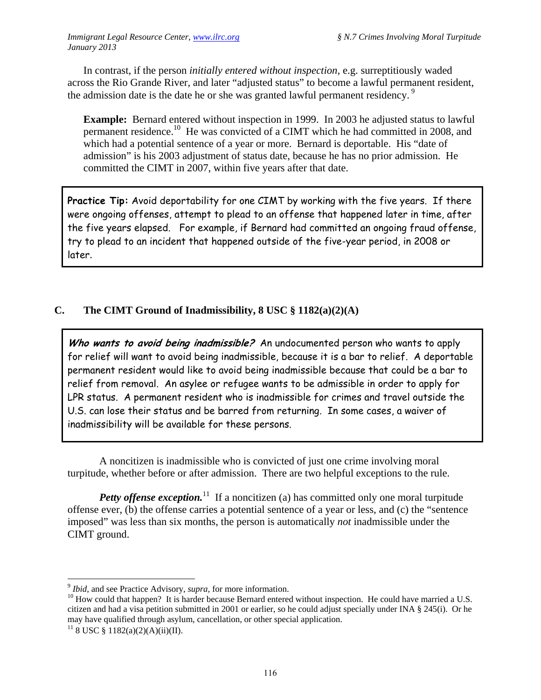In contrast, if the person *initially entered without inspection,* e.g. surreptitiously waded across the Rio Grande River, and later "adjusted status" to become a lawful permanent resident, the admission date is the date he or she was granted lawful permanent residency.<sup>9</sup>

**Example:** Bernard entered without inspection in 1999. In 2003 he adjusted status to lawful permanent residence.<sup>10</sup> He was convicted of a CIMT which he had committed in 2008, and which had a potential sentence of a year or more. Bernard is deportable. His "date of admission" is his 2003 adjustment of status date, because he has no prior admission. He committed the CIMT in 2007, within five years after that date.

**Practice Tip:** Avoid deportability for one CIMT by working with the five years. If there were ongoing offenses, attempt to plead to an offense that happened later in time, after the five years elapsed. For example, if Bernard had committed an ongoing fraud offense, try to plead to an incident that happened outside of the five-year period, in 2008 or later.

## **C. The CIMT Ground of Inadmissibility, 8 USC § 1182(a)(2)(A)**

Who wants to avoid being inadmissible? An undocumented person who wants to apply for relief will want to avoid being inadmissible, because it is a bar to relief. A deportable permanent resident would like to avoid being inadmissible because that could be a bar to relief from removal. An asylee or refugee wants to be admissible in order to apply for LPR status. A permanent resident who is inadmissible for crimes and travel outside the U.S. can lose their status and be barred from returning. In some cases, a waiver of inadmissibility will be available for these persons.

A noncitizen is inadmissible who is convicted of just one crime involving moral turpitude, whether before or after admission. There are two helpful exceptions to the rule.

*Petty offense exception.*<sup>11</sup> If a noncitizen (a) has committed only one moral turpitude offense ever, (b) the offense carries a potential sentence of a year or less, and (c) the "sentence imposed" was less than six months, the person is automatically *not* inadmissible under the CIMT ground.

<u>.</u>

<sup>&</sup>lt;sup>9</sup> *Ibid*, and see Practice Advisory, *supra*, for more information.<br><sup>10</sup> How could that happen? It is harder because Bernard entered without inspection. He could have married a U.S. citizen and had a visa petition submitted in 2001 or earlier, so he could adjust specially under INA § 245(i). Or he may have qualified through asylum, cancellation, or other special application.

 $11$  8 USC § 1182(a)(2)(A)(ii)(II).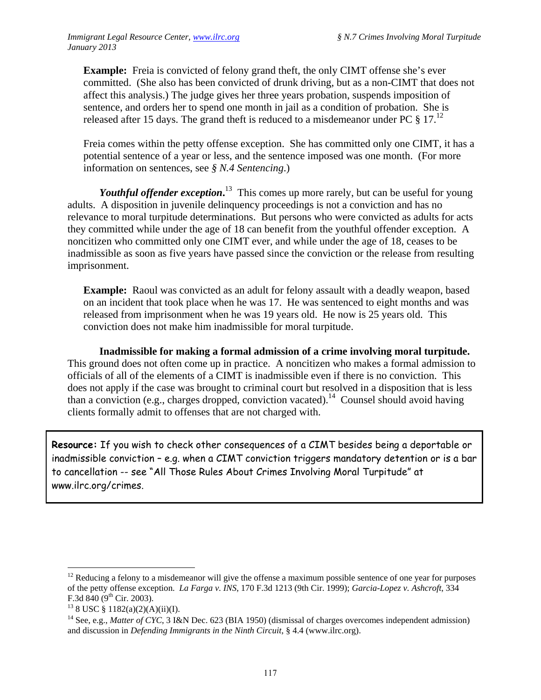**Example:** Freia is convicted of felony grand theft, the only CIMT offense she's ever committed. (She also has been convicted of drunk driving, but as a non-CIMT that does not affect this analysis.) The judge gives her three years probation, suspends imposition of sentence, and orders her to spend one month in jail as a condition of probation. She is released after 15 days. The grand theft is reduced to a misdemeanor under PC  $\frac{1}{2}$  17.<sup>12</sup>

Freia comes within the petty offense exception. She has committed only one CIMT, it has a potential sentence of a year or less, and the sentence imposed was one month. (For more information on sentences, see *§ N.4 Sentencing*.)

Youthful offender exception.<sup>13</sup> This comes up more rarely, but can be useful for young adults. A disposition in juvenile delinquency proceedings is not a conviction and has no relevance to moral turpitude determinations. But persons who were convicted as adults for acts they committed while under the age of 18 can benefit from the youthful offender exception. A noncitizen who committed only one CIMT ever, and while under the age of 18, ceases to be inadmissible as soon as five years have passed since the conviction or the release from resulting imprisonment.

**Example:** Raoul was convicted as an adult for felony assault with a deadly weapon, based on an incident that took place when he was 17. He was sentenced to eight months and was released from imprisonment when he was 19 years old. He now is 25 years old. This conviction does not make him inadmissible for moral turpitude.

**Inadmissible for making a formal admission of a crime involving moral turpitude.** This ground does not often come up in practice. A noncitizen who makes a formal admission to officials of all of the elements of a CIMT is inadmissible even if there is no conviction. This does not apply if the case was brought to criminal court but resolved in a disposition that is less than a conviction (e.g., charges dropped, conviction vacated).<sup>14</sup> Counsel should avoid having clients formally admit to offenses that are not charged with.

**Resource:** If you wish to check other consequences of a CIMT besides being a deportable or inadmissible conviction – e.g. when a CIMT conviction triggers mandatory detention or is a bar to cancellation -- see "All Those Rules About Crimes Involving Moral Turpitude" at www.ilrc.org/crimes.

 $\overline{a}$ 

 $12$  Reducing a felony to a misdemeanor will give the offense a maximum possible sentence of one year for purposes of the petty offense exception. *La Farga v. INS*, 170 F.3d 1213 (9th Cir. 1999); *Garcia-Lopez v. Ashcroft*, 334

 $13$  8 USC § 1182(a)(2)(A)(ii)(I).

<sup>&</sup>lt;sup>14</sup> See, e.g., *Matter of CYC*, 3 I&N Dec. 623 (BIA 1950) (dismissal of charges overcomes independent admission) and discussion in *Defending Immigrants in the Ninth Circuit*, § 4.4 (www.ilrc.org).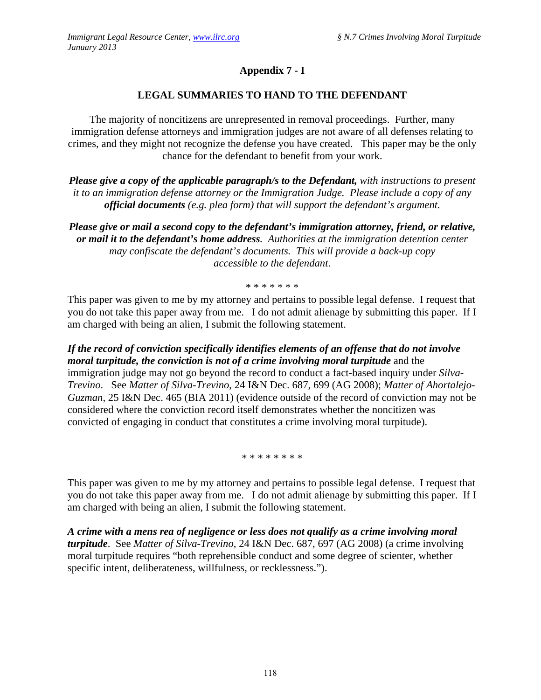## **Appendix 7 - I**

## **LEGAL SUMMARIES TO HAND TO THE DEFENDANT**

The majority of noncitizens are unrepresented in removal proceedings. Further, many immigration defense attorneys and immigration judges are not aware of all defenses relating to crimes, and they might not recognize the defense you have created. This paper may be the only chance for the defendant to benefit from your work.

*Please give a copy of the applicable paragraph/s to the Defendant, with instructions to present it to an immigration defense attorney or the Immigration Judge. Please include a copy of any official documents (e.g. plea form) that will support the defendant's argument.*

*Please give or mail a second copy to the defendant's immigration attorney, friend, or relative, or mail it to the defendant's home address. Authorities at the immigration detention center may confiscate the defendant's documents. This will provide a back-up copy accessible to the defendant*.

\* \* \* \* \* \* \*

This paper was given to me by my attorney and pertains to possible legal defense. I request that you do not take this paper away from me. I do not admit alienage by submitting this paper. If I am charged with being an alien, I submit the following statement.

*If the record of conviction specifically identifies elements of an offense that do not involve moral turpitude, the conviction is not of a crime involving moral turpitude* and the immigration judge may not go beyond the record to conduct a fact-based inquiry under *Silva-Trevino*. See *Matter of Silva-Trevino*, 24 I&N Dec. 687, 699 (AG 2008); *Matter of Ahortalejo-Guzman*, 25 I&N Dec. 465 (BIA 2011) (evidence outside of the record of conviction may not be considered where the conviction record itself demonstrates whether the noncitizen was convicted of engaging in conduct that constitutes a crime involving moral turpitude).

\* \* \* \* \* \* \* \*

This paper was given to me by my attorney and pertains to possible legal defense. I request that you do not take this paper away from me. I do not admit alienage by submitting this paper. If I am charged with being an alien, I submit the following statement.

*A crime with a mens rea of negligence or less does not qualify as a crime involving moral turpitude*. See *Matter of Silva-Trevino*, 24 I&N Dec. 687, 697 (AG 2008) (a crime involving moral turpitude requires "both reprehensible conduct and some degree of scienter, whether specific intent, deliberateness, willfulness, or recklessness.").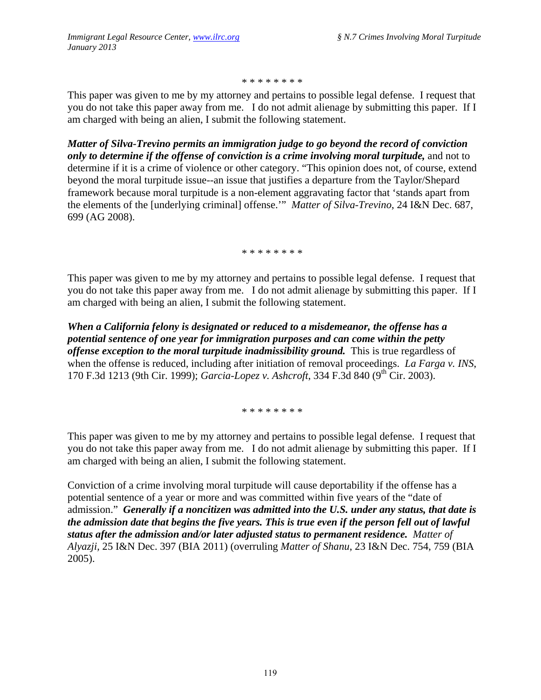\* \* \* \* \* \* \* \*

This paper was given to me by my attorney and pertains to possible legal defense. I request that you do not take this paper away from me. I do not admit alienage by submitting this paper. If I am charged with being an alien, I submit the following statement.

*Matter of Silva-Trevino permits an immigration judge to go beyond the record of conviction only to determine if the offense of conviction is a crime involving moral turpitude,* and not to determine if it is a crime of violence or other category. "This opinion does not, of course, extend beyond the moral turpitude issue--an issue that justifies a departure from the Taylor/Shepard framework because moral turpitude is a non-element aggravating factor that 'stands apart from the elements of the [underlying criminal] offense.'" *Matter of Silva-Trevino*, 24 I&N Dec. 687, 699 (AG 2008).

\* \* \* \* \* \* \* \*

This paper was given to me by my attorney and pertains to possible legal defense. I request that you do not take this paper away from me. I do not admit alienage by submitting this paper. If I am charged with being an alien, I submit the following statement.

*When a California felony is designated or reduced to a misdemeanor, the offense has a potential sentence of one year for immigration purposes and can come within the petty offense exception to the moral turpitude inadmissibility ground.* This is true regardless of when the offense is reduced, including after initiation of removal proceedings. *La Farga v. INS*, 170 F.3d 1213 (9th Cir. 1999); *Garcia-Lopez v. Ashcroft*, 334 F.3d 840 (9th Cir. 2003).

\* \* \* \* \* \* \* \*

This paper was given to me by my attorney and pertains to possible legal defense. I request that you do not take this paper away from me. I do not admit alienage by submitting this paper. If I am charged with being an alien, I submit the following statement.

Conviction of a crime involving moral turpitude will cause deportability if the offense has a potential sentence of a year or more and was committed within five years of the "date of admission." *Generally if a noncitizen was admitted into the U.S. under any status, that date is the admission date that begins the five years. This is true even if the person fell out of lawful status after the admission and/or later adjusted status to permanent residence. Matter of Alyazji,* 25 I&N Dec. 397 (BIA 2011) (overruling *Matter of Shanu*, 23 I&N Dec. 754, 759 (BIA 2005).